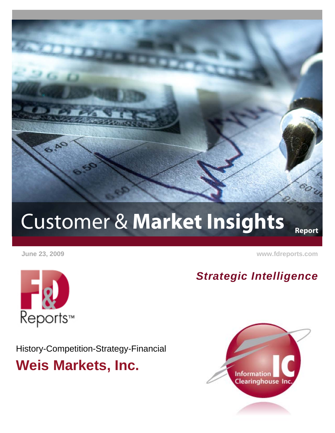

# Customer & **Market Insights**

 **June 23, 2009 [www.fdreports.com](http://www.fdreports.com/)**

**Report**

# **Reports™**

History-Competition-Strategy-Financial **Weis Markets, Inc.**



*Strategic Intelligence*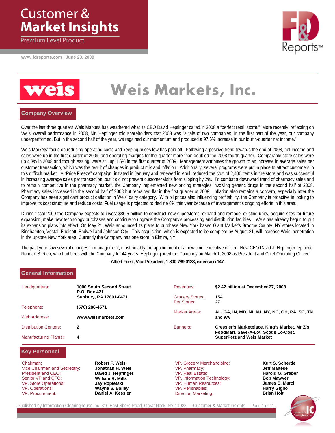### Customer & **Market Insights**

Premium Level Product

**www.fdreports.com I June 23, 2009**





## **Weis Markets, Inc.**

#### **Company Overview**

Over the last three quarters Weis Markets has weathered what its CEO David Hepfinger called in 2008 a "perfect retail storm." More recently, reflecting on Weis' overall performance in 2008, Mr. Hepfinger told shareholders that 2008 was "a tale of two companies. In the first part of the year, our company underperformed. But in the second half of the year, we regained our momentum and produced a 97.6% increase in our fourth-quarter net income."

Weis Markets' focus on reducing operating costs and keeping prices low has paid off. Following a positive trend towards the end of 2008, net income and sales were up in the first quarter of 2009, and operating margins for the quarter more than doubled the 2008 fourth quarter. Comparable store sales were up 4.3% in 2008 and though easing, were still up 1.6% in the first quarter of 2009. Management attributes the growth to an increase in average sales per customer transaction, which was the result of changes in product mix and inflation. Additionally, several programs were put in place to attract customers in this difficult market. A "Price Freeze" campaign, initiated in January and renewed in April, reduced the cost of 2,400 items in the store and was successful in increasing average sales per transaction, but it did not prevent customer visits from slipping by 2%. To combat a downward trend of pharmacy sales and to remain competitive in the pharmacy market, the Company implemented new pricing strategies involving generic drugs in the second half of 2008. Pharmacy sales increased in the second half of 2008 but remained flat in the first quarter of 2009. Inflation also remains a concern, especially after the Company has seen significant product deflation in Weis' dairy category. With oil prices also influencing profitability, the Company is proactive in looking to improve its cost structure and reduce costs. Fuel usage is projected to decline 6% this year because of management's ongoing efforts in this area.

During fiscal 2009 the Company expects to invest \$80.5 million to construct new superstores, expand and remodel existing units, acquire sites for future expansion, make new technology purchases and continue to upgrade the Company's processing and distribution facilities. Weis has already begun to put its expansion plans into effect. On May 21, Weis announced its plans to purchase New York based Giant Market's Broome County, NY stores located in Binghamton, Vestal, Endicott, Endwell and Johnson City. This acquisition, which is expected to be complete by August 21, will increase Weis' penetration in the upstate New York area. Currently the Company has one store in Elmira, NY.

The past year saw several changes in management, most notably the appointment of a new chief executive officer. New CEO David J. Hepfinger replaced Norman S. Rich, who had been with the Company for 44 years. Hepfinger joined the Company on March 1, 2008 as President and Chief Operating Officer.

**Albert Furst, Vice President, 1-800-789-0123, extension 147.** 

#### **General Information**

| Headquarters:                | 1000 South Second Street<br>P.O. Box 471 | Revenues:                             | \$2.42 billion at December 27, 2008                                                    |
|------------------------------|------------------------------------------|---------------------------------------|----------------------------------------------------------------------------------------|
|                              | Sunbury, PA 17801-0471                   | <b>Grocery Stores:</b><br>Pet Stores: | 154<br>27                                                                              |
| Telephone:                   | (570) 286-4571                           | Market Areas:                         | AL, GA, IN, MD, MI, NJ, NY, NC, OH, PA, SC, TN                                         |
| Web Address:                 | www.weismarkets.com                      |                                       | and <b>WV</b>                                                                          |
| <b>Distribution Centers:</b> | 2                                        | Banners:                              | Cressler's Marketplace, King's Market, Mr Z's<br>FoodMart, Save-A-Lot, Scot's Lo-Cost, |
| <b>Manufacturing Plants:</b> | 4                                        |                                       | <b>SuperPetz and Weis Market</b>                                                       |

1

#### **Key Personnel**

Chairman: Vice Chairman and Secretary: President and CEO: Senior VP and CFO: VP, Store Operations: VP, Operations: VP, Procurement:

**Robert F. Weis Jonathan H. Weis David J. Hepfinger William R. Mills Jay Ropietski Wayne S. Bailey Daniel A. Kessler** 

VP, Grocery Merchandising: VP, Pharmacy: VP, Real Estate: VP, Information Technology: VP, Human Resources: VP, Perishables: Director, Marketing:

**Kurt S. Schertle Jeff Maltese Harold G. Graber Bob Mawyer James E. Marcil Harry Giglio Brian Holt** 

Published by Information Clearinghouse Inc. 310 East Shore Road, Great Neck, NY 11023 — Customer & Market Insights - Page 1 of 11

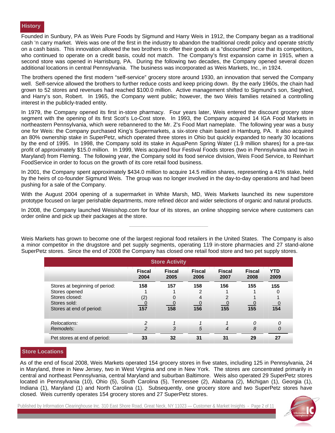Founded in Sunbury, PA as Weis Pure Foods by Sigmund and Harry Weis in 1912, the Company began as a traditional cash 'n carry market. Weis was one of the first in the industry to abandon the traditional credit policy and operate strictly on a cash basis. This innovation allowed the two brothers to offer their goods at a "discounted" price that its competitors, who continued to operate on a credit basis, could not match. The Company's first expansion came in 1915, when a second store was opened in Harrisburg, PA. During the following two decades, the Company opened several dozen additional locations in central Pennsylvania. The business was incorporated as Weis Markets, Inc., in 1924.

The brothers opened the first modern "self-service" grocery store around 1930, an innovation that served the Company well. Self-service allowed the brothers to further reduce costs and keep pricing down. By the early 1960s, the chain had grown to 52 stores and revenues had reached \$100.0 million. Active management shifted to Sigmund's son, Siegfried, and Harry's son, Robert. In 1965, the Company went public; however, the two Weis families retained a controlling interest in the publicly-traded entity.

In 1979, the Company opened its first in-store pharmacy. Four years later, Weis entered the discount grocery store segment with the opening of its first Scot's Lo-Cost store. In 1993, the Company acquired 14 IGA Food Markets in northeastern Pennsylvania, which were rebannered to the Mr. Z's Food Mart nameplate. The following year was a busy one for Weis: the Company purchased King's Supermarkets, a six-store chain based in Hamburg, PA. It also acquired an 80% ownership stake in SuperPetz, which operated three stores in Ohio but quickly expanded to nearly 30 locations by the end of 1995. In 1998, the Company sold its stake in AquaPenn Spring Water (1.9 million shares) for a pre-tax profit of approximately \$15.0 million. In 1999, Weis acquired four Festival Foods stores (two in Pennsylvania and two in Maryland) from Fleming. The following year, the Company sold its food service division, Weis Food Service, to Reinhart FoodService in order to focus on the growth of its core retail food business.

In 2001, the Company spent approximately \$434.0 million to acquire 14.5 million shares, representing a 41% stake, held by the heirs of co-founder Sigmund Weis. The group was no longer involved in the day-to-day operations and had been pushing for a sale of the Company.

With the August 2004 opening of a supermarket in White Marsh, MD, Weis Markets launched its new superstore prototype focused on larger perishable departments, more refined décor and wider selections of organic and natural products.

In 2008, the Company launched Weisishop.com for four of its stores, an online shopping service where customers can order online and pick up their packages at the store.

**\_\_\_\_\_\_\_\_\_\_\_\_\_\_\_\_\_\_\_\_\_\_\_\_\_\_\_\_\_\_\_\_\_\_\_\_** 

| <b>Store Activity</b>          |                       |                       |                       |                       |                       |                    |
|--------------------------------|-----------------------|-----------------------|-----------------------|-----------------------|-----------------------|--------------------|
|                                | <b>Fiscal</b><br>2004 | <b>Fiscal</b><br>2005 | <b>Fiscal</b><br>2006 | <b>Fiscal</b><br>2007 | <b>Fiscal</b><br>2008 | <b>YTD</b><br>2009 |
| Stores at beginning of period: | 158                   | 157                   | 158                   | 156                   | 155                   | 155                |
| Stores opened                  |                       |                       |                       |                       |                       |                    |
| Stores closed:                 | (2)                   |                       |                       |                       |                       |                    |
| Stores sold:                   |                       |                       |                       |                       |                       |                    |
| Stores at end of period:       | $\frac{0}{157}$       | $\frac{0}{158}$       | 156                   | $\frac{6}{155}$       | $\frac{0}{155}$       | $\frac{0}{154}$    |
| Relocations:                   |                       |                       |                       |                       | $\Omega$              | 0                  |
| Remodels:                      | 2                     | 3                     | 5                     | 4                     | 8                     | 0                  |
| Pet stores at end of period:   | 33                    | 32                    | 31                    | 31                    | 29                    | 27                 |

Weis Markets has grown to become one of the largest regional food retailers in the United States. The Company is also a minor competitor in the drugstore and pet supply segments, operating 119 in-store pharmacies and 27 stand-alone SuperPetz stores. Since the end of 2008 the Company has closed one retail food store and two pet supply stores

#### **Store Locations**

As of the end of fiscal 2008, Weis Markets operated 154 grocery stores in five states, including 125 in Pennsylvania, 24 in Maryland, three in New Jersey, two in West Virginia and one in New York. The stores are concentrated primarily in central and northeast Pennsylvania, central Maryland and suburban Baltimore. Weis also operated 29 SuperPetz stores located in Pennsylvania (10), Ohio (5), South Carolina (5), Tennessee (2), Alabama (2), Michigan (1), Georgia (1), Indiana (1), Maryland (1) and North Carolina (1). Subsequently, one grocery store and two SuperPetz stores have closed. Weis currently operates 154 grocery stores and 27 SuperPetz stores.

2

Published by Information Clearinghouse Inc. 310 East Shore Road, Great Neck, NY 11023 — Customer & Market Insights - Page 2 of 11

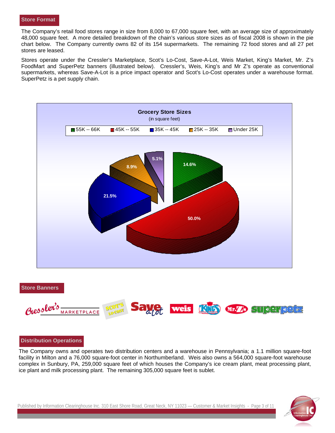#### **Store Format**

48,000 square feet. A more detailed breakdown of the chain's various store sizes as of fiscal 2008 is shown in the pie chart below. The Company currently owns 82 of its 154 supermarkets. The remaining 72 food stores and all 27 pet stores are leased.

Stores operate under the Cressler's Marketplace, Scot's Lo-Cost, Save-A-Lot, Weis Market, King's Market, Mr. Z's FoodMart and SuperPetz banners (illustrated below). Cressler's, Weis, King's and Mr Z's operate as conventional supermarkets, whereas Save-A-Lot is a price impact operator and Scot's Lo-Cost operates under a warehouse format. SuperPetz is a pet supply chain.



#### **Store Banners**



#### **Distribution Operations**

The Company owns and operates two distribution centers and a warehouse in Pennsylvania; a 1.1 million square-foot facility in Milton and a 76,000 square-foot center in Northumberland. Weis also owns a 564,000 square-foot warehouse complex in Sunbury, PA, 259,000 square feet of which houses the Company's ice cream plant, meat processing plant, ice plant and milk processing plant. The remaining 305,000 square feet is sublet.

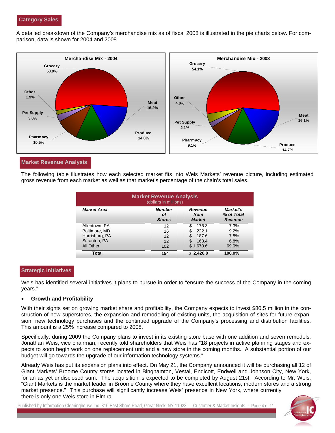A detailed breakdown of the Company's merchandise mix as of fiscal 2008 is illustrated in the pie charts below. For comparison, data is shown for 2004 and 2008.



#### **Market Revenue Analysis**

The following table illustrates how each selected market fits into Weis Markets' revenue picture, including estimated gross revenue from each market as well as that market's percentage of the chain's total sales.

| <b>Market Revenue Analysis</b><br>(dollars in millions) |                                      |                                         |                                          |  |  |  |
|---------------------------------------------------------|--------------------------------------|-----------------------------------------|------------------------------------------|--|--|--|
| <b>Market Area</b>                                      | <b>Number</b><br>οf<br><b>Stores</b> | <b>Revenue</b><br>from<br><b>Market</b> | Market's<br>% of Total<br><b>Revenue</b> |  |  |  |
| Allentown, PA                                           | 12                                   | \$<br>176.3                             | 7.3%                                     |  |  |  |
| Baltimore, MD                                           | 16                                   | S<br>222.1                              | 9.2%                                     |  |  |  |
| Harrisburg, PA                                          | 12                                   | \$<br>187.6                             | 7.8%                                     |  |  |  |
| Scranton, PA                                            | 12                                   | \$<br>163.4                             | 6.8%                                     |  |  |  |
| All Other                                               | 102                                  | \$1,670.6                               | 69.0%                                    |  |  |  |
| Total                                                   | 154                                  | 2.420.0                                 | 100.0%                                   |  |  |  |

#### **Strategic Initiatives**

Weis has identified several initiatives it plans to pursue in order to "ensure the success of the Company in the coming years."

#### • **Growth and Profitability**

With their sights set on growing market share and profitability, the Company expects to invest \$80.5 million in the construction of new superstores, the expansion and remodeling of existing units, the acquisition of sites for future expansion, new technology purchases and the continued upgrade of the Company's processing and distribution facilities. This amount is a 25% increase compared to 2008.

Specifically, during 2009 the Company plans to invest in its existing store base with one addition and seven remodels. Jonathan Weis, vice chairman, recently told shareholders that Weis has "18 projects in active planning stages and expects to soon begin work on one replacement unit and a new store in the coming months. A substantial portion of our budget will go towards the upgrade of our information technology systems."

Already Weis has put its expansion plans into effect. On May 21, the Company announced it will be purchasing all 12 of Giant Markets' Broome County stores located in Binghamton, Vestal, Endicott, Endwell and Johnson City, New York, for an as yet undisclosed sum. The acquisition is expected to be completed by August 21st. According to Mr. Weis, "Giant Markets is the market leader in Broome County where they have excellent locations, modern stores and a strong market presence." This purchase will significantly increase Weis' presence in New York, where currently there is only one Weis store in Elmira.

4

Published by Information Clearinghouse Inc. 310 East Shore Road, Great Neck, NY 11023 — Customer & Market Insights - Page 4 of 11

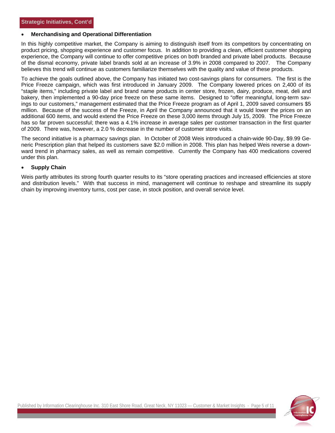#### • **Merchandising and Operational Differentiation**

In this highly competitive market, the Company is aiming to distinguish itself from its competitors by concentrating on product pricing, shopping experience and customer focus. In addition to providing a clean, efficient customer shopping experience, the Company will continue to offer competitive prices on both branded and private label products. Because of the dismal economy, private label brands sold at an increase of 3.9% in 2008 compared to 2007. The Company believes this trend will continue as customers familiarize themselves with the quality and value of these products.

To achieve the goals outlined above, the Company has initiated two cost-savings plans for consumers. The first is the Price Freeze campaign, which was first introduced in January 2009. The Company lowered prices on 2,400 of its "staple items," including private label and brand name products in center store, frozen, dairy, produce, meat, deli and bakery, then implemented a 90-day price freeze on these same items. Designed to "offer meaningful, long-term savings to our customers," management estimated that the Price Freeze program as of April 1, 2009 saved consumers \$5 million. Because of the success of the Freeze, in April the Company announced that it would lower the prices on an additional 600 items, and would extend the Price Freeze on these 3,000 items through July 15, 2009. The Price Freeze has so far proven successful; there was a 4.1% increase in average sales per customer transaction in the first quarter of 2009. There was, however, a 2.0 % decrease in the number of customer store visits.

The second initiative is a pharmacy savings plan. In October of 2008 Weis introduced a chain-wide 90-Day, \$9.99 Generic Prescription plan that helped its customers save \$2.0 million in 2008. This plan has helped Weis reverse a downward trend in pharmacy sales, as well as remain competitive. Currently the Company has 400 medications covered under this plan.

#### • **Supply Chain**

Weis partly attributes its strong fourth quarter results to its "store operating practices and increased efficiencies at store and distribution levels." With that success in mind, management will continue to reshape and streamline its supply chain by improving inventory turns, cost per case, in stock position, and overall service level.



5

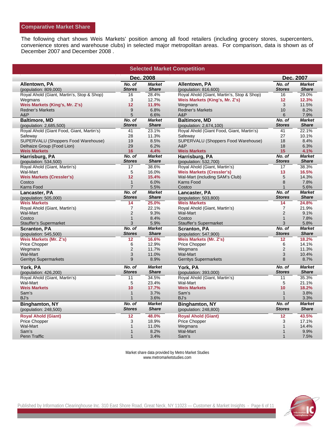#### **Comparative Market Share**

The following chart shows Weis Markets' position among all food retailers (including grocery stores, supercenters, convenience stores and warehouse clubs) in selected major metropolitan areas. For comparison, data is shown as of December 2007 and December 2008 .

| <b>Selected Market Competition</b>               |                                  |                               |                                                                     |                                  |                               |  |
|--------------------------------------------------|----------------------------------|-------------------------------|---------------------------------------------------------------------|----------------------------------|-------------------------------|--|
|                                                  | Dec. 2007                        |                               |                                                                     |                                  |                               |  |
| Allentown, PA<br>(population: 809,000)           | No. of<br><b>Stores</b>          | <b>Market</b><br><b>Share</b> | <b>Allentown, PA</b><br>(population: 816,600)                       | No. of<br><b>Stores</b>          | <b>Market</b><br><b>Share</b> |  |
| Royal Ahold (Giant, Martin's, Stop & Shop)       | 16                               | 28.4%                         | Royal Ahold (Giant, Martin's, Stop & Shop)                          | 16                               | 29.0%                         |  |
| Wegmans                                          | 3                                | 12.7%                         | Weis Markets (King's, Mr. Z's)                                      | 12                               | 12.3%                         |  |
| Weis Markets (King's, Mr. Z's)                   | 12                               | 11.9%                         | Wegmans                                                             | 3                                | 11.5%                         |  |
| <b>Redner's Markets</b>                          | 9                                | 6.8%                          | <b>Redner's Markets</b>                                             | 10                               | 8.2%                          |  |
| A&P                                              | 5                                | 6.6%                          | A&P                                                                 | 6                                | 7.9%                          |  |
| <b>Baltimore, MD</b>                             | No. of                           | <b>Market</b>                 | <b>Baltimore, MD</b>                                                | No. of                           | <b>Market</b>                 |  |
| (population: 2,685,500)                          | <b>Stores</b>                    | <b>Share</b>                  | (population: 2,674,100)                                             | <b>Stores</b>                    | <b>Share</b>                  |  |
| Royal Ahold (Giant Food, Giant, Martin's)        | 41                               | 23.1%                         | Royal Ahold (Giant Food, Giant, Martin's)                           | 41                               | 22.1%                         |  |
| Safeway                                          | 28                               | 11.3%                         | Safeway                                                             | 27                               | 10.1%                         |  |
| SUPERVALU (Shoppers Food Warehouse)              | 19                               | 8.5%                          | SUPERVALU (Shoppers Food Warehouse)                                 | 18                               | 8.4%                          |  |
| Delhaize Group (Food Lion)                       | 29                               | 6.2%                          | A&P                                                                 | 18                               | 6.3%                          |  |
| <b>Weis Markets</b>                              | 16                               | 4.4%                          | <b>Weis Markets</b>                                                 | 15                               | 4.1%                          |  |
| Harrisburg, PA                                   | No. of                           | <b>Market</b>                 | Harrisburg, PA                                                      | No. of                           | <b>Market</b>                 |  |
| (population: 534,500)                            | <b>Stores</b>                    | <b>Share</b>                  | (population: 532,700)                                               | <b>Stores</b>                    | <b>Share</b>                  |  |
| Royal Ahold (Giant, Martin's)                    | 17                               | 38.6%                         | Royal Ahold (Giant, Martin's)                                       | 17                               | 38.3%                         |  |
|                                                  | 5                                | 16.0%                         |                                                                     | 13                               | 16.5%                         |  |
| Wal-Mart<br><b>Weis Markets (Cressler's)</b>     | 12                               | 15.4%                         | <b>Weis Markets (Cressler's)</b><br>Wal-Mart (including SAM's Club) | 5                                | 14.3%                         |  |
| Costco                                           | $\mathbf{1}$                     | 6.0%                          | Karns Food                                                          | 8                                | 7.8%                          |  |
| Karns Food                                       | $\overline{7}$                   | 5.5%                          | Costco                                                              | $\mathbf{1}$                     | 5.6%                          |  |
|                                                  | No. of                           | <b>Market</b>                 |                                                                     | No. of                           | <b>Market</b>                 |  |
| Lancaster, PA                                    | <b>Stores</b>                    | <b>Share</b>                  | Lancaster, PA                                                       | <b>Stores</b>                    | <b>Share</b>                  |  |
| (population: 505,000)<br><b>Weis Markets</b>     | 14                               |                               | (population: 503,800)<br><b>Weis Markets</b>                        | 14                               |                               |  |
|                                                  |                                  | 25.0%                         |                                                                     |                                  | 24.8%                         |  |
| Royal Ahold (Giant, Martin's)<br><b>Wal-Mart</b> | $\overline{7}$<br>$\overline{2}$ | 22.1%                         | Royal Ahold (Giant, Martin's)<br><b>Wal-Mart</b>                    | $\overline{7}$<br>$\overline{2}$ | 21.9%                         |  |
|                                                  |                                  | 9.3%                          | Costco                                                              |                                  | 9.1%                          |  |
| Costco                                           | $\mathbf{1}$<br>3                | 8.4%<br>5.9%                  |                                                                     | $\mathbf{1}$<br>3                | 7.8%<br>5.8%                  |  |
| <b>Stauffer's Supermarket</b>                    |                                  |                               | <b>Stauffer's Supermarket</b>                                       |                                  |                               |  |
| <b>Scranton, PA</b>                              | No. of<br><b>Stores</b>          | <b>Market</b><br><b>Share</b> | <b>Scranton, PA</b>                                                 | No. of<br><b>Stores</b>          | <b>Market</b><br><b>Share</b> |  |
| (population: 545,500)                            |                                  |                               | (population: 547,900)                                               |                                  |                               |  |
| Weis Markets (Mr. Z's)                           | 12                               | 16.6%                         | Weis Markets (Mr. Z's)                                              | 12                               | 18.2%                         |  |
| <b>Price Chopper</b>                             | 6                                | 12.9%                         | <b>Price Chopper</b>                                                | 6                                | 14.1%                         |  |
| Wegmans                                          | $\overline{2}$                   | 11.7%                         | Wegmans                                                             | $\boldsymbol{2}$                 | 11.3%                         |  |
| Wal-Mart                                         | 3                                | 11.0%                         | Wal-Mart                                                            | 3                                | 10.4%                         |  |
| <b>Gerritys Supermarkets</b>                     | 9                                | 8.9%                          | <b>Gerritys Supermarkets</b>                                        | 8                                | 8.7%                          |  |
| York, PA                                         | No. of                           | <b>Market</b>                 | York, PA                                                            | No. of                           | <b>Market</b>                 |  |
| (population: 426,200)                            | <b>Stores</b>                    | <b>Share</b>                  | (population: 393,000)                                               | <b>Stores</b>                    | <b>Share</b>                  |  |
| Royal Ahold (Giant, Martin's)                    | 11                               | 34.5%                         | Royal Ahold (Giant, Martin's)                                       | 11                               | 35.3%                         |  |
| Wal-Mart                                         | 5                                | 23.4%                         | Wal-Mart                                                            | 5                                | 21.1%                         |  |
| <b>Weis Markets</b>                              | 10                               | 17.7%                         | <b>Weis Markets</b>                                                 | 10                               | 18.2%                         |  |
| Sam's                                            | 1                                | 3.7%                          | Sam's                                                               | $\mathbf{1}$                     | 3.8%                          |  |
| BJ's                                             | 1                                | 3.6%                          | BJ's                                                                | $\mathbf{1}$                     | 3.3%                          |  |
| <b>Binghamton, NY</b>                            | No. of                           | <b>Market</b>                 | <b>Binghamton, NY</b>                                               | No. of                           | <b>Market</b>                 |  |
| (population: 248,500)                            | <b>Stores</b>                    | <b>Share</b>                  | (population: 248,800)                                               | <b>Stores</b>                    | <b>Share</b>                  |  |
| <b>Royal Ahold (Giant)</b>                       | 12                               | 48.0%                         | <b>Royal Ahold (Giant)</b>                                          | 12                               | 43.5%                         |  |
| Price Chopper                                    | 3                                | 18.9%                         | Price Chopper                                                       | 3                                | 17.1%                         |  |
| Wal-Mart                                         | 1                                | 11.0%                         | Wegmans                                                             | $\mathbf{1}$                     | 14.4%                         |  |
| Sam's                                            | $\mathbf{1}$                     | 8.2%                          | <b>Wal-Mart</b>                                                     | $\mathbf{1}$                     | 9.9%                          |  |
| Penn Traffic                                     | 1                                | 3.4%                          | Sam's                                                               | 1                                | 7.5%                          |  |

Market share data provided by Metro Market Studies www.metromarketstudies.com

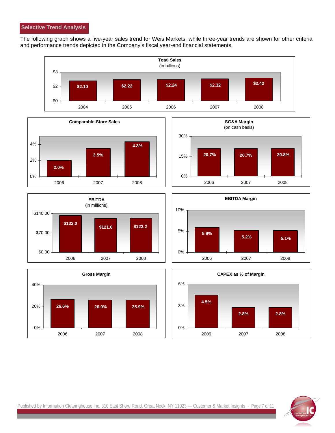The following graph shows a five-year sales trend for Weis Markets, while three-year trends are shown for other criteria and performance trends depicted in the Company's fiscal year-end financial statements.

















Published by Information Clearinghouse Inc. 310 East Shore Road, Great Neck, NY 11023 - Customer & Market Insights - Page 7 of 11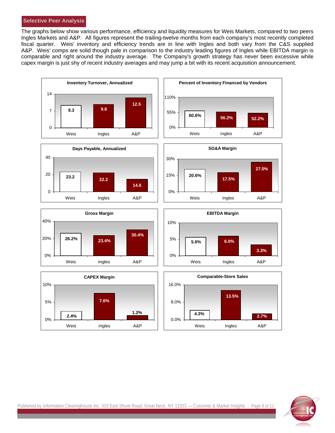#### **Selective Peer Analysis**

The graphs below show various performance, efficiency and liquidity measures for Weis Markets, compared to two peers Ingles Markets and A&P. All figures represent the trailing-twelve months from each company's most recently completed fiscal quarter. Weis' inventory and efficiency trends are in line with Ingles and both vary from the C&S supplied A&P. Weis' comps are solid though pale in comparison to the industry leading figures of Ingles while EBITDA margin is comparable and right around the industry average. The Company's growth strategy has never been excessive while capex margin is just shy of recent industry averages and may jump a bit with its recent acquisition announcement.



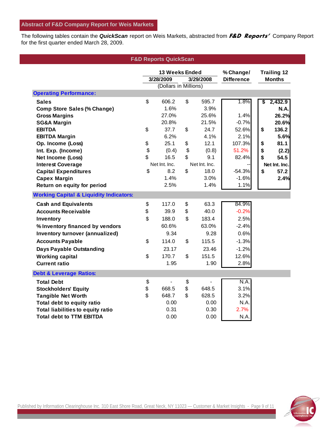The following tables contain the *QuickScan* report on Weis Markets, abstracted from **F&D Reports'** Company Report for the first quarter ended March 28, 2009.

| <b>F&amp;D Reports QuickScan</b>                   |                                |       |                |                   |             |                    |             |
|----------------------------------------------------|--------------------------------|-------|----------------|-------------------|-------------|--------------------|-------------|
|                                                    | 13 Weeks Ended                 |       |                | % Change/         |             | <b>Trailing 12</b> |             |
|                                                    | 3/28/2009<br>3/29/2008         |       |                | <b>Difference</b> |             | <b>Months</b>      |             |
|                                                    | (Dollars in Millions)          |       |                |                   |             |                    |             |
| <b>Operating Performance:</b>                      |                                |       |                |                   |             |                    |             |
| <b>Sales</b>                                       | \$                             | 606.2 | \$             | 595.7             | 1.8%        | \$                 | 2,432.9     |
| <b>Comp Store Sales (% Change)</b>                 |                                | 1.6%  |                | 3.9%              |             |                    | <b>N.A.</b> |
| <b>Gross Margins</b>                               |                                | 27.0% |                | 25.6%             | 1.4%        |                    | 26.2%       |
| <b>SG&amp;A Margin</b>                             |                                | 20.8% |                | 21.5%             | $-0.7%$     |                    | 20.6%       |
| <b>EBITDA</b>                                      | \$                             | 37.7  | \$             | 24.7              | 52.6%       | \$                 | 136.2       |
| <b>EBITDA Margin</b>                               |                                | 6.2%  |                | 4.1%              | 2.1%        |                    | 5.6%        |
| Op. Income (Loss)                                  | \$                             | 25.1  | \$             | 12.1              | 107.3%      | \$                 | 81.1        |
| Int. Exp. (Income)                                 | \$                             | (0.4) | \$             | (0.8)             | 51.2%       | \$                 | (2.2)       |
| Net Income (Loss)                                  | \$                             | 16.5  | $\mathfrak{L}$ | 9.1               | 82.4%       | \$                 | 54.5        |
| <b>Interest Coverage</b>                           | Net Int. Inc.<br>Net Int. Inc. |       |                |                   |             | Net Int. Inc.      |             |
| <b>Capital Expenditures</b>                        | \$                             | 8.2   | \$             | 18.0              | $-54.3%$    | \$                 | 57.2        |
| <b>Capex Margin</b>                                |                                | 1.4%  |                | 3.0%              | $-1.6%$     |                    | 2.4%        |
| Return on equity for period                        |                                | 2.5%  |                | 1.4%              | 1.1%        |                    |             |
| <b>Working Capital &amp; Liquidity Indicators:</b> |                                |       |                |                   |             |                    |             |
| <b>Cash and Equivalents</b>                        | \$                             | 117.0 | \$             | 63.3              | 84.9%       |                    |             |
| <b>Accounts Receivable</b>                         | \$                             | 39.9  | \$             | 40.0              | $-0.2%$     |                    |             |
| <b>Inventory</b>                                   | $\mathfrak{D}$                 | 188.0 | \$             | 183.4             | 2.5%        |                    |             |
| % Inventory financed by vendors                    |                                | 60.6% |                | 63.0%             | $-2.4%$     |                    |             |
| Inventory turnover (annualized)                    |                                | 9.34  |                | 9.28              | 0.6%        |                    |             |
| <b>Accounts Payable</b>                            | \$                             | 114.0 | \$             | 115.5             | $-1.3%$     |                    |             |
| <b>Days Payable Outstanding</b>                    |                                | 23.17 |                | 23.46             | $-1.2%$     |                    |             |
| <b>Working capital</b>                             | \$                             | 170.7 | \$             | 151.5             | 12.6%       |                    |             |
| <b>Current ratio</b>                               |                                | 1.95  |                | 1.90              | 2.8%        |                    |             |
| <b>Debt &amp; Leverage Ratios:</b>                 |                                |       |                |                   |             |                    |             |
| <b>Total Debt</b>                                  | \$                             |       | \$             |                   | <b>N.A.</b> |                    |             |
| <b>Stockholders' Equity</b>                        | \$                             | 668.5 | \$             | 648.5             | 3.1%        |                    |             |
| <b>Tangible Net Worth</b>                          | $\mathfrak{S}$                 | 648.7 | \$             | 628.5             | 3.2%        |                    |             |
| Total debt to equity ratio                         |                                | 0.00  |                | 0.00              | N.A.        |                    |             |
| <b>Total liabilities to equity ratio</b>           |                                | 0.31  |                | 0.30              | 2.7%        |                    |             |
| <b>Total debt to TTM EBITDA</b>                    |                                | 0.00  |                | 0.00              | N.A.        |                    |             |

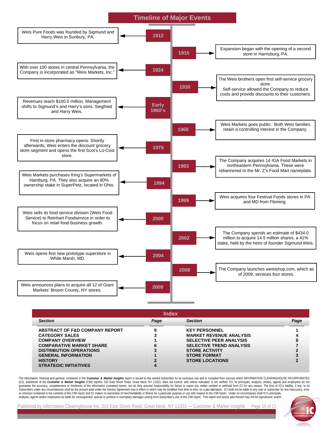

| <b>Index</b>                              |      |                                 |      |  |  |
|-------------------------------------------|------|---------------------------------|------|--|--|
| <b>Section</b>                            | Page | <b>Section</b>                  | Page |  |  |
| <b>ABSTRACT OF F&amp;D COMPANY REPORT</b> |      | <b>KEY PERSONNEL</b>            |      |  |  |
| <b>CATEGORY SALES</b>                     |      | <b>MARKET REVENUE ANALYSIS</b>  |      |  |  |
| <b>COMPANY OVERVIEW</b>                   |      | <b>SELECTIVE PEER ANALYSIS</b>  |      |  |  |
| <b>COMPARATIVE MARKET SHARE</b>           | 6    | <b>SELECTIVE TREND ANALYSIS</b> |      |  |  |
| <b>DISTRIBUTION OPERATIONS</b>            |      | <b>STORE ACTIVITY</b>           |      |  |  |
| <b>GENERAL INFORMATION</b>                |      | <b>STORE FORMAT</b>             |      |  |  |
| <b>HISTORY</b>                            |      | <b>STORE LOCATIONS</b>          |      |  |  |
| <b>STRATEGIC INITIATIVES</b>              |      |                                 |      |  |  |

The information, financial and general, contained in this Customer & Market Insights report is issued to the named Subscriber for its exclusive use and is compiled from sources which INFORMATION CLEARINGHOUSE INCORPORATED (ICI), publishers of the Customer & Market Insights (CMI) reports, 310 East Shore Road, Great Neck, NY 11023, does not control, and unless indicated, is not verified. ICI, its principals, analysts, writers, agents and empl guarantee the accuracy, completeness or timeliness of the information contained herein, nor do they assume responsibility for failure to report any matter omitted or withheld from ICI for any reason. The limit of ICI's lia or omission contained in the contents of this CMI report and ICI makes no warranties of merchantability or fitness for a particular purpose or use with respect to the CMI report. Under no circumstance shall ICI's principal

10

Published by Information Clearinghouse Inc. 310 East Shore Road, Great Neck, NY 11023 — Customer & Market Insights - Page 10 of 11